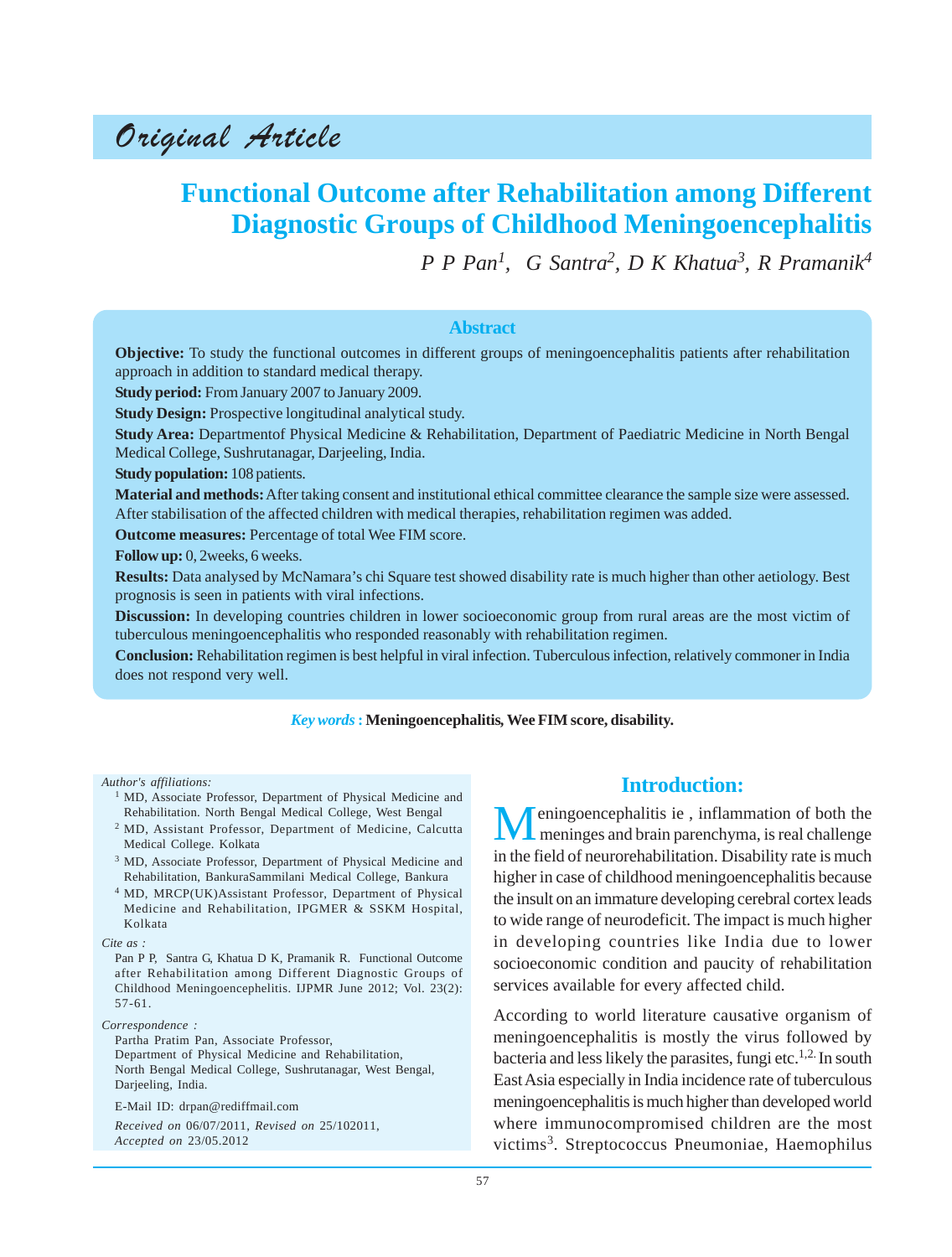Original Article

# **Functional Outcome after Rehabilitation among Different Diagnostic Groups of Childhood Meningoencephalitis**

*P P Pan1 , G Santra2, D K Khatua3 , R Pramanik<sup>4</sup>*

#### **Abstract**

**Objective:** To study the functional outcomes in different groups of meningoencephalitis patients after rehabilitation approach in addition to standard medical therapy.

**Study period:** From January 2007 to January 2009.

**Study Design:** Prospective longitudinal analytical study.

**Study Area:** Departmentof Physical Medicine & Rehabilitation, Department of Paediatric Medicine in North Bengal Medical College, Sushrutanagar, Darjeeling, India.

**Study population:** 108 patients.

**Material and methods:** After taking consent and institutional ethical committee clearance the sample size were assessed. After stabilisation of the affected children with medical therapies, rehabilitation regimen was added.

**Outcome measures:** Percentage of total Wee FIM score.

**Follow up:** 0, 2weeks, 6 weeks.

**Results:** Data analysed by McNamara's chi Square test showed disability rate is much higher than other aetiology. Best prognosis is seen in patients with viral infections.

**Discussion:** In developing countries children in lower socioeconomic group from rural areas are the most victim of tuberculous meningoencephalitis who responded reasonably with rehabilitation regimen.

**Conclusion:** Rehabilitation regimen is best helpful in viral infection. Tuberculous infection, relatively commoner in India does not respond very well.

#### *Key words* **: Meningoencephalitis***,* **Wee FIM score, disability.**

*Author's affiliations:*

- <sup>1</sup> MD, Associate Professor, Department of Physical Medicine and Rehabilitation. North Bengal Medical College, West Bengal
- <sup>2</sup> MD, Assistant Professor, Department of Medicine, Calcutta Medical College. Kolkata
- <sup>3</sup> MD, Associate Professor, Department of Physical Medicine and Rehabilitation, BankuraSammilani Medical College, Bankura
- <sup>4</sup> MD, MRCP(UK)Assistant Professor, Department of Physical Medicine and Rehabilitation, IPGMER & SSKM Hospital, Kolkata

#### *Correspondence :*

Partha Pratim Pan, Associate Professor, Department of Physical Medicine and Rehabilitation, North Bengal Medical College, Sushrutanagar, West Bengal, Darjeeling, India.

E-Mail ID: drpan@rediffmail.com

*Received on* 06/07/2011, *Revised on* 25/102011, *Accepted on* 23/05.2012

## **Introduction:**

eningoencephalitis ie, inflammation of both the meninges and brain parenchyma, is real challenge in the field of neurorehabilitation. Disability rate is much higher in case of childhood meningoencephalitis because the insult on an immature developing cerebral cortex leads to wide range of neurodeficit. The impact is much higher in developing countries like India due to lower socioeconomic condition and paucity of rehabilitation services available for every affected child.

According to world literature causative organism of meningoencephalitis is mostly the virus followed by bacteria and less likely the parasites, fungi etc.<sup>1,2.</sup> In south East Asia especially in India incidence rate of tuberculous meningoencephalitis is much higher than developed world where immunocompromised children are the most victims<sup>3</sup>. Streptococcus Pneumoniae, Haemophilus

*Cite as :*

Pan P P, Santra G, Khatua D K, Pramanik R. Functional Outcome after Rehabilitation among Different Diagnostic Groups of Childhood Meningoencephelitis. IJPMR June 2012; Vol. 23(2): 57-61.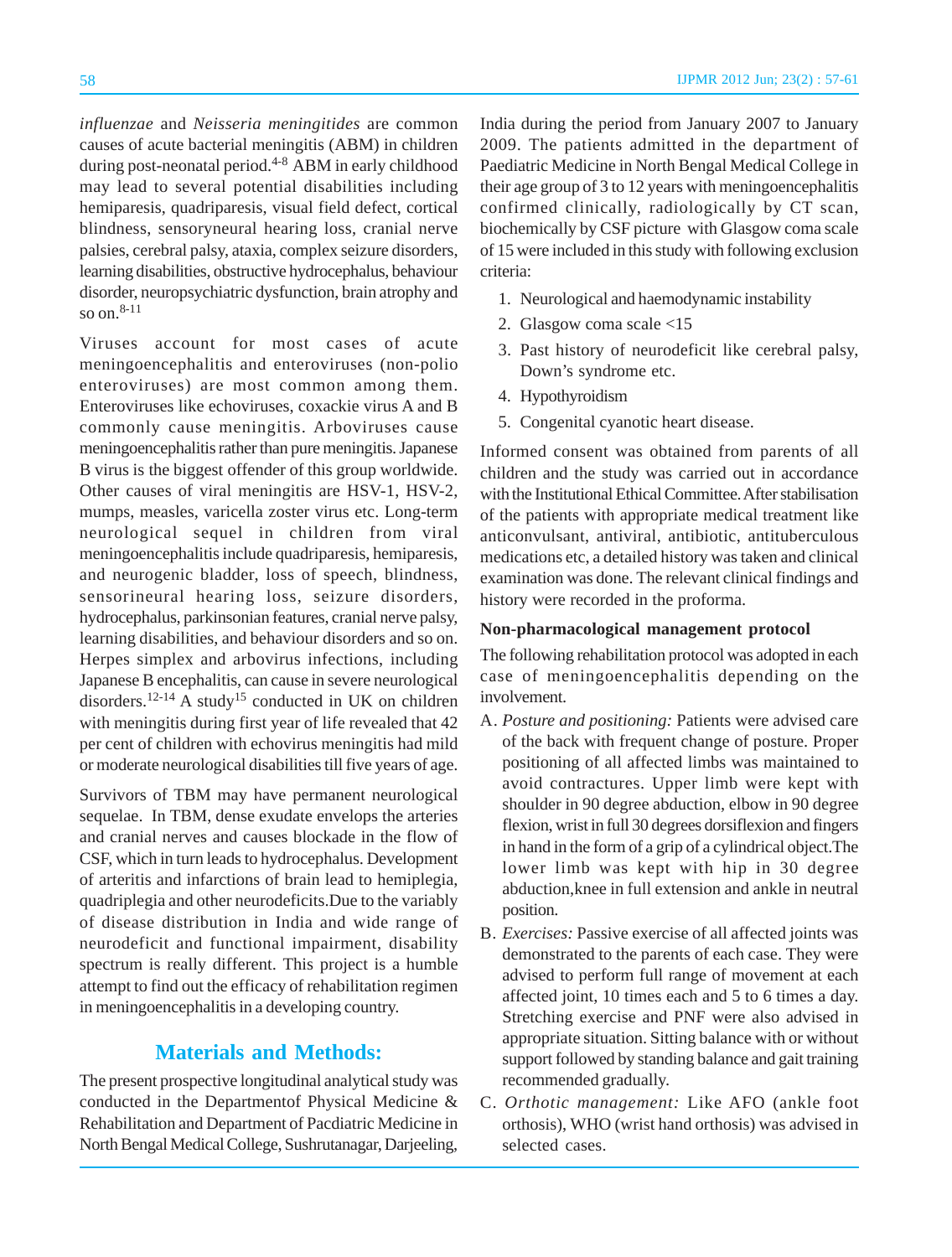*influenzae* and *Neisseria meningitides* are common causes of acute bacterial meningitis (ABM) in children during post-neonatal period.<sup>4-8</sup> ABM in early childhood may lead to several potential disabilities including hemiparesis, quadriparesis, visual field defect, cortical blindness, sensoryneural hearing loss, cranial nerve palsies, cerebral palsy, ataxia, complex seizure disorders, learning disabilities, obstructive hydrocephalus, behaviour disorder, neuropsychiatric dysfunction, brain atrophy and so on  $8-11$ 

Viruses account for most cases of acute meningoencephalitis and enteroviruses (non-polio enteroviruses) are most common among them. Enteroviruses like echoviruses, coxackie virus A and B commonly cause meningitis. Arboviruses cause meningoencephalitis rather than pure meningitis. Japanese B virus is the biggest offender of this group worldwide. Other causes of viral meningitis are HSV-1, HSV-2, mumps, measles, varicella zoster virus etc. Long-term neurological sequel in children from viral meningoencephalitis include quadriparesis, hemiparesis, and neurogenic bladder, loss of speech, blindness, sensorineural hearing loss, seizure disorders, hydrocephalus, parkinsonian features, cranial nerve palsy, learning disabilities, and behaviour disorders and so on. Herpes simplex and arbovirus infections, including Japanese B encephalitis, can cause in severe neurological disorders.<sup>12-14</sup> A study<sup>15</sup> conducted in UK on children with meningitis during first year of life revealed that 42 per cent of children with echovirus meningitis had mild or moderate neurological disabilities till five years of age.

Survivors of TBM may have permanent neurological sequelae. In TBM, dense exudate envelops the arteries and cranial nerves and causes blockade in the flow of CSF, which in turn leads to hydrocephalus. Development of arteritis and infarctions of brain lead to hemiplegia, quadriplegia and other neurodeficits.Due to the variably of disease distribution in India and wide range of neurodeficit and functional impairment, disability spectrum is really different. This project is a humble attempt to find out the efficacy of rehabilitation regimen in meningoencephalitis in a developing country.

### **Materials and Methods:**

The present prospective longitudinal analytical study was conducted in the Departmentof Physical Medicine & Rehabilitation and Department of Pacdiatric Medicine in North Bengal Medical College, Sushrutanagar, Darjeeling, India during the period from January 2007 to January 2009. The patients admitted in the department of Paediatric Medicine in North Bengal Medical College in their age group of 3 to 12 years with meningoencephalitis confirmed clinically, radiologically by CT scan, biochemically by CSF picture with Glasgow coma scale of 15 were included in this study with following exclusion criteria:

- 1. Neurological and haemodynamic instability
- 2. Glasgow coma scale <15
- 3. Past history of neurodeficit like cerebral palsy, Down's syndrome etc.
- 4. Hypothyroidism
- 5. Congenital cyanotic heart disease.

Informed consent was obtained from parents of all children and the study was carried out in accordance with the Institutional Ethical Committee. After stabilisation of the patients with appropriate medical treatment like anticonvulsant, antiviral, antibiotic, antituberculous medications etc, a detailed history was taken and clinical examination was done. The relevant clinical findings and history were recorded in the proforma.

### **Non-pharmacological management protocol**

The following rehabilitation protocol was adopted in each case of meningoencephalitis depending on the involvement.

- A. *Posture and positioning:* Patients were advised care of the back with frequent change of posture. Proper positioning of all affected limbs was maintained to avoid contractures. Upper limb were kept with shoulder in 90 degree abduction, elbow in 90 degree flexion, wrist in full 30 degrees dorsiflexion and fingers in hand in the form of a grip of a cylindrical object.The lower limb was kept with hip in 30 degree abduction,knee in full extension and ankle in neutral position.
- B. *Exercises:* Passive exercise of all affected joints was demonstrated to the parents of each case. They were advised to perform full range of movement at each affected joint, 10 times each and 5 to 6 times a day. Stretching exercise and PNF were also advised in appropriate situation. Sitting balance with or without support followed by standing balance and gait training recommended gradually.
- C. *Orthotic management:* Like AFO (ankle foot orthosis), WHO (wrist hand orthosis) was advised in selected cases.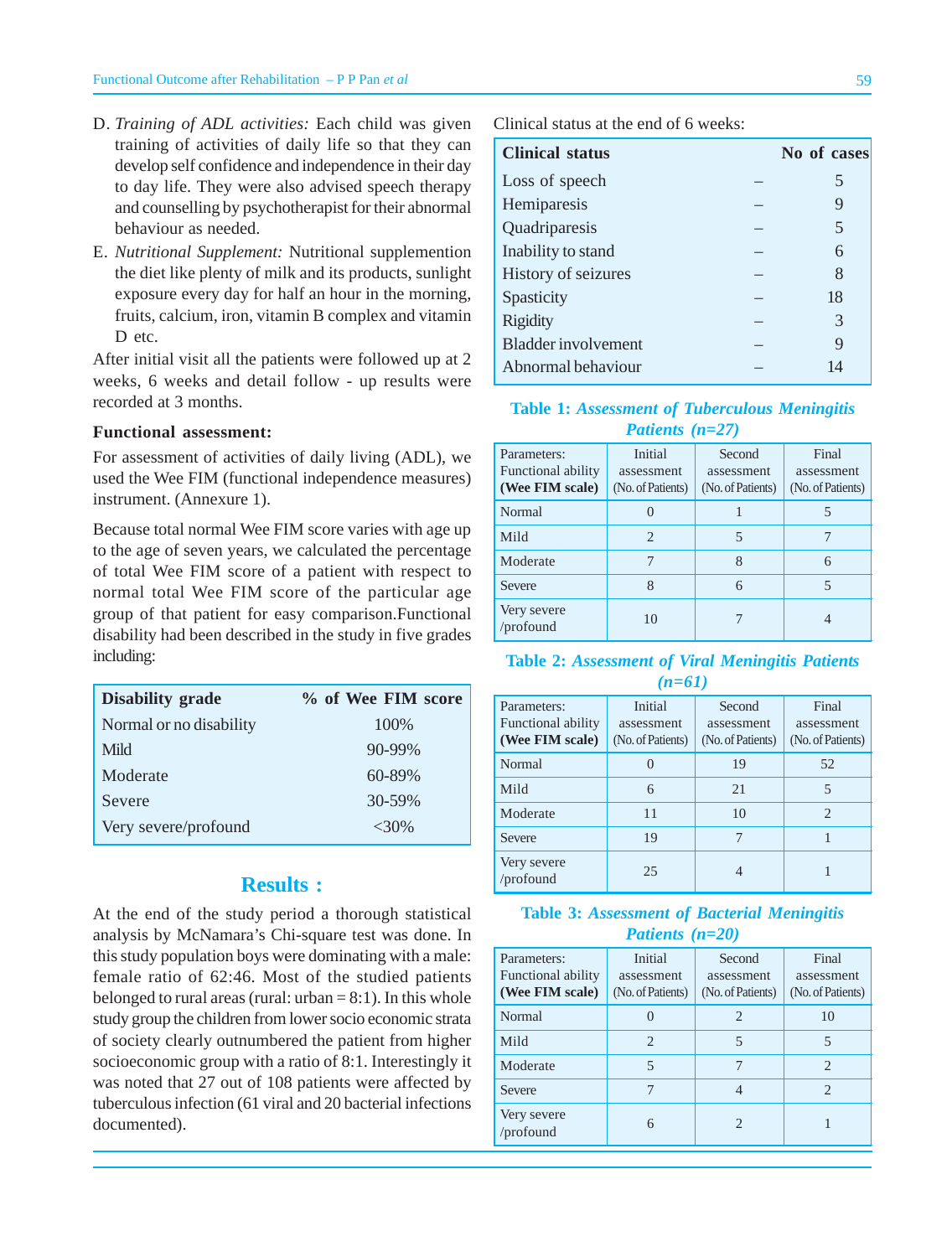- D. *Training of ADL activities:* Each child was given training of activities of daily life so that they can develop self confidence and independence in their day to day life. They were also advised speech therapy and counselling by psychotherapist for their abnormal behaviour as needed.
- E. *Nutritional Supplement:* Nutritional supplemention the diet like plenty of milk and its products, sunlight exposure every day for half an hour in the morning, fruits, calcium, iron, vitamin B complex and vitamin D etc.

After initial visit all the patients were followed up at 2 weeks, 6 weeks and detail follow - up results were recorded at 3 months.

#### **Functional assessment:**

For assessment of activities of daily living (ADL), we used the Wee FIM (functional independence measures) instrument. (Annexure 1).

Because total normal Wee FIM score varies with age up to the age of seven years, we calculated the percentage of total Wee FIM score of a patient with respect to normal total Wee FIM score of the particular age group of that patient for easy comparison.Functional disability had been described in the study in five grades including:

| <b>Disability grade</b> | % of Wee FIM score |
|-------------------------|--------------------|
| Normal or no disability | 100\%              |
| Mild                    | $90 - 99\%$        |
| Moderate                | $60 - 89\%$        |
| Severe                  | 30-59%             |
| Very severe/profound    | $<30\%$            |

### **Results :**

At the end of the study period a thorough statistical analysis by McNamara's Chi-square test was done. In this study population boys were dominating with a male: female ratio of 62:46. Most of the studied patients belonged to rural areas (rural:  $urban = 8:1$ ). In this whole study group the children from lower socio economic strata of society clearly outnumbered the patient from higher socioeconomic group with a ratio of 8:1. Interestingly it was noted that 27 out of 108 patients were affected by tuberculous infection (61 viral and 20 bacterial infections documented).

Clinical status at the end of 6 weeks:

| <b>Clinical status</b> | No of cases |
|------------------------|-------------|
| Loss of speech         | 5           |
| Hemiparesis            | 9           |
| Quadriparesis          | 5           |
| Inability to stand     | 6           |
| History of seizures    | 8           |
| Spasticity             | 18          |
| <b>Rigidity</b>        | 3           |
| Bladder involvement    | 9           |
| Abnormal behaviour     | 14          |
|                        |             |

**Table 1:** *Assessment of Tuberculous Meningitis Patients (n=27)*

| Parameters:<br><b>Functional ability</b><br>(Wee FIM scale) | Initial<br>assessment<br>(No. of Patients) | Second<br>assessment<br>(No. of Patients) | Final<br>assessment<br>(No. of Patients) |
|-------------------------------------------------------------|--------------------------------------------|-------------------------------------------|------------------------------------------|
| Normal                                                      |                                            |                                           | 5                                        |
| Mild                                                        | $\mathcal{D}_{\cdot}$                      | 5                                         |                                          |
| Moderate                                                    |                                            | 8                                         | 6                                        |
| Severe                                                      | 8                                          | 6                                         | 5                                        |
| Very severe<br>/profound                                    | 10                                         |                                           |                                          |

**Table 2:** *Assessment of Viral Meningitis Patients (n=61)*

| Parameters:<br><b>Functional ability</b><br>(Wee FIM scale) | Initial<br>assessment<br>(No. of Patients) | Second<br>assessment<br>(No. of Patients) | Final<br>assessment<br>(No. of Patients) |
|-------------------------------------------------------------|--------------------------------------------|-------------------------------------------|------------------------------------------|
| Normal                                                      |                                            | 19                                        | 52                                       |
| Mild                                                        | 6                                          | 21                                        | 5                                        |
| Moderate                                                    | 11                                         | 10                                        | $\mathcal{D}_{\cdot}$                    |
| Severe                                                      | 19                                         |                                           |                                          |
| Very severe<br>/profound                                    | 25                                         |                                           |                                          |

#### **Table 3:** *Assessment of Bacterial Meningitis Patients (n=20)*

| Parameters:<br><b>Functional ability</b><br>(Wee FIM scale) | Initial<br>assessment<br>(No. of Patients) | Second<br>assessment<br>(No. of Patients) | Final<br>assessment<br>(No. of Patients) |
|-------------------------------------------------------------|--------------------------------------------|-------------------------------------------|------------------------------------------|
| Normal                                                      |                                            | 2                                         | 10                                       |
| Mild                                                        | $\mathcal{D}_{\cdot}$                      | 5                                         | 5                                        |
| Moderate                                                    | 5                                          | 7                                         | $\mathfrak{D}_{\cdot}$                   |
| Severe                                                      |                                            | 4                                         | $\mathfrak{D}_{\cdot}$                   |
| Very severe<br>/profound                                    | 6                                          | 2                                         |                                          |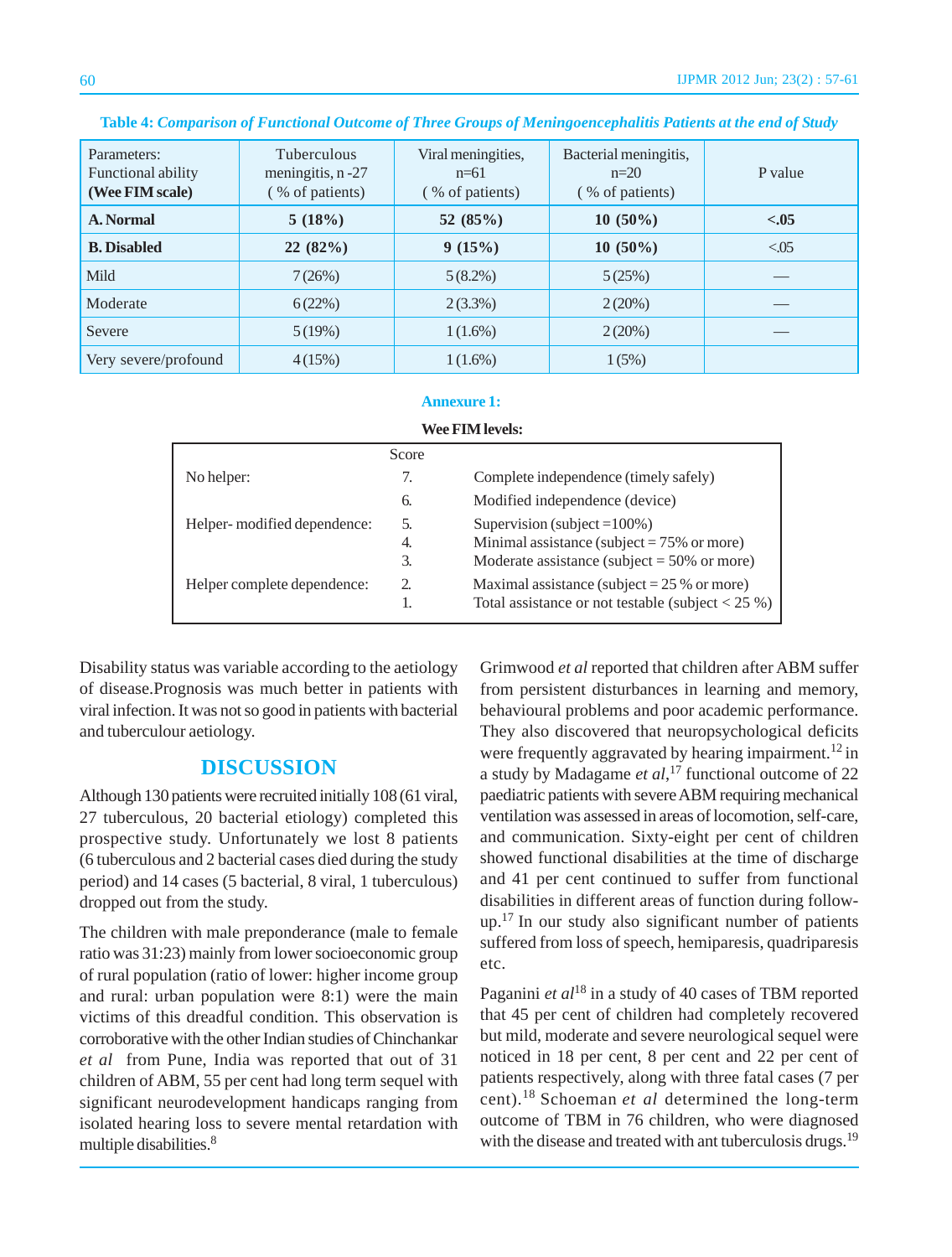| Parameters:<br>Functional ability<br>(Wee FIM scale) | <b>Tuberculous</b><br>meningitis, n-27<br>(% of patients) | Viral meningities,<br>$n=61$<br>(% of patients) | Bacterial meningitis,<br>$n=20$<br>(% of patients) | P value |
|------------------------------------------------------|-----------------------------------------------------------|-------------------------------------------------|----------------------------------------------------|---------|
| A. Normal                                            | 5(18%)                                                    | 52 $(85%)$                                      | $10(50\%)$                                         | $-.05$  |
| <b>B.</b> Disabled                                   | 22(82%)                                                   | 9(15%)                                          | $10(50\%)$                                         | < 0.05  |
| Mild                                                 | 7(26%)                                                    | $5(8.2\%)$                                      | 5(25%)                                             |         |
| Moderate                                             | 6(22%)                                                    | $2(3.3\%)$                                      | 2(20%)                                             |         |
| Severe                                               | 5(19%)                                                    | $1(1.6\%)$                                      | 2(20%)                                             |         |
| Very severe/profound                                 | 4(15%)                                                    | $1(1.6\%)$                                      | 1(5%)                                              |         |

#### **Table 4:** *Comparison of Functional Outcome of Three Groups of Meningoencephalitis Patients at the end of Study*

#### **Annexure 1:**

|                              | Score |                                                |
|------------------------------|-------|------------------------------------------------|
| No helper:                   | 7.    | Complete independence (timely safely)          |
|                              | 6.    | Modified independence (device)                 |
| Helper- modified dependence: | 5.    | Supervision (subject = $100\%$ )               |
|                              | 4.    | Minimal assistance (subject = $75\%$ or more)  |
|                              | 3.    | Moderate assistance (subject = $50\%$ or more) |

Helper complete dependence: 2. Maximal assistance (subject = 25 % or more)

1. Total assistance or not testable (subject  $< 25\%$ )

**Wee FIM levels:**

Disability status was variable according to the aetiology of disease.Prognosis was much better in patients with viral infection. It was not so good in patients with bacterial and tuberculour aetiology.

### **DISCUSSION**

Although 130 patients were recruited initially 108 (61 viral, 27 tuberculous, 20 bacterial etiology) completed this prospective study. Unfortunately we lost 8 patients (6 tuberculous and 2 bacterial cases died during the study period) and 14 cases (5 bacterial, 8 viral, 1 tuberculous) dropped out from the study.

The children with male preponderance (male to female ratio was 31:23) mainly from lower socioeconomic group of rural population (ratio of lower: higher income group and rural: urban population were 8:1) were the main victims of this dreadful condition. This observation is corroborative with the other Indian studies of Chinchankar *et al* from Pune, India was reported that out of 31 children of ABM, 55 per cent had long term sequel with significant neurodevelopment handicaps ranging from isolated hearing loss to severe mental retardation with multiple disabilities.<sup>8</sup>

Grimwood *et al* reported that children after ABM suffer from persistent disturbances in learning and memory, behavioural problems and poor academic performance. They also discovered that neuropsychological deficits were frequently aggravated by hearing impairment.<sup>12</sup> in a study by Madagame *et al*, 17 functional outcome of 22 paediatric patients with severe ABM requiring mechanical ventilation was assessed in areas of locomotion, self-care, and communication. Sixty-eight per cent of children showed functional disabilities at the time of discharge and 41 per cent continued to suffer from functional disabilities in different areas of function during followup.17 In our study also significant number of patients suffered from loss of speech, hemiparesis, quadriparesis etc.

Paganini *et al*18 in a study of 40 cases of TBM reported that 45 per cent of children had completely recovered but mild, moderate and severe neurological sequel were noticed in 18 per cent, 8 per cent and 22 per cent of patients respectively, along with three fatal cases (7 per cent).18 Schoeman *et al* determined the long-term outcome of TBM in 76 children, who were diagnosed with the disease and treated with ant tuberculosis drugs.<sup>19</sup>